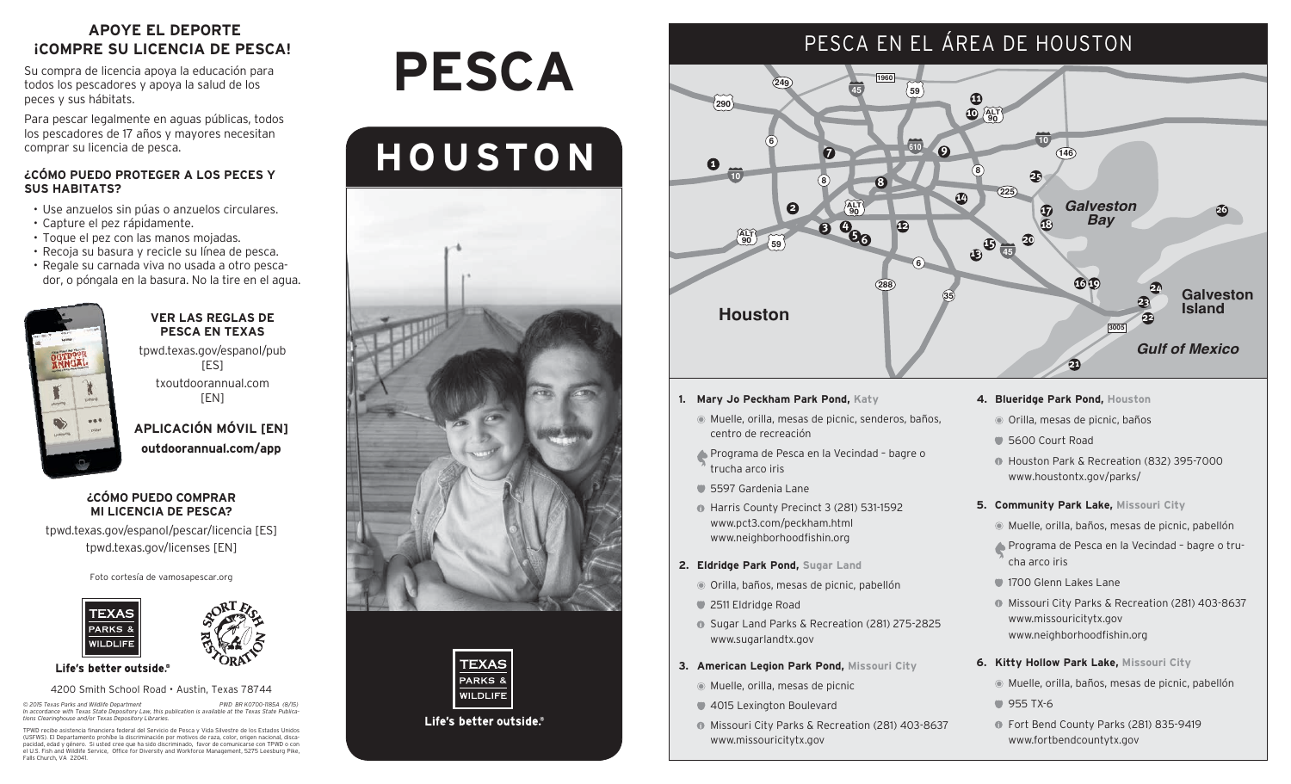## **APOYE EL DEPORTE ¡COMPRE SU LICENCIA DE PESCA!**

Su compra de licencia apoya la educación para todos los pescadores y apoya la salud de los peces y sus hábitats.

Para pescar legalmente en aguas públicas, todos los pescadores de 17 años y mayores necesitan comprar su licencia de pesca.

## **¿CÓMO PUEDO PROTEGER A LOS PECES Y SUS HABITATS?**

- Use anzuelos sin púas o anzuelos circulares.
- Capture el pez rápidamente.
- Toque el pez con las manos mojadas.
- Recoja su basura y recicle su línea de pesca.
- Regale su carnada viva no usada a otro pescador, o póngala en la basura. No la tire en el agua.



### **VER LAS REGLAS DE PESCA EN TEXAS**

tpwd.texas.gov/espanol/pub [ES]

txoutdoorannual.com [EN]

**APLICACIÓN MÓVIL [EN] outdoorannual.com/app**

## **¿CÓMO PUEDO COMPRAR MI LICENCIA DE PESCA?**

tpwd.texas.gov/espanol/pescar/licencia [ES] tpwd.texas.gov/licenses [EN]

Foto cortesía de vamosapescar.org





Life's better outside.®

#### 4200 Smith School Road • Austin, Texas 78744

© 2015 Texas Parks and Wildlife Department<br>In accordance with Texas State Depository Law, this publication is available at the Texas State Publica-<br>tions Clearinghouse and/or Texas Depository Libraries.

TPWD recibe asistencia financiera federal del Servicio de Pesca y Vida Silvestre de los Estados Unidos<br>(USFWS). El Departamento prohíbe la discriminación por motivos de raza, color, origen nacional, disca-<br>pacidad, edad y Falls Church, VA 22041

# **Pesca**

## **HOUSTON**





Life's better outside.

## PESCA EN EL ÁREA DE HOUSTON



- **1. Mary Jo Peckham Park Pond, Katy**
	- Muelle, orilla, mesas de picnic, senderos, baños, centro de recreación
	- Programa de Pesca en la Vecindad bagre o trucha arco iris
	- 5597 Gardenia Lane
	- Harris County Precinct 3 (281) 531-1592 www.pct3.com/peckham.html www.neighborhoodfishin.org
- **2. Eldridge Park Pond, Sugar Land**
	- Orilla, baños, mesas de picnic, pabellón
	- 2511 Eldridge Road
	- **G** Sugar Land Parks & Recreation (281) 275-2825 www.sugarlandtx.gov
- **3. American Legion Park Pond, Missouri City**
	- Muelle, orilla, mesas de picnic
	- 4015 Lexington Boulevard
	- **Missouri City Parks & Recreation (281) 403-8637** www.missouricitytx.gov
- **4. Blueridge Park Pond, Houston**
- Orilla, mesas de picnic, baños
- 5600 Court Road
- Houston Park & Recreation (832) 395-7000 www.houstontx.gov/parks/
- **5. Community Park Lake, Missouri City**
	- Muelle, orilla, baños, mesas de picnic, pabellón
	- Programa de Pesca en la Vecindad bagre o trucha arco iris
	- 1700 Glenn Lakes Lane
	- **Missouri City Parks & Recreation (281) 403-8637** www.missouricitytx.gov www.neighborhoodfishin.org
- **6. Kitty Hollow Park Lake, Missouri City**
	- Muelle, orilla, baños, mesas de picnic, pabellón
	- **955 TX-6**
	- **The Fort Bend County Parks (281) 835-9419** www.fortbendcountytx.gov